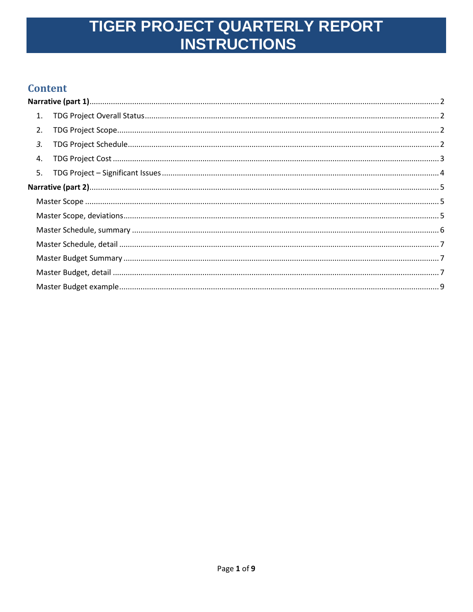### **Content**

| 1. |  |
|----|--|
| 2. |  |
| 3. |  |
| 4. |  |
|    |  |
|    |  |
|    |  |
|    |  |
|    |  |
|    |  |
|    |  |
|    |  |
|    |  |
|    |  |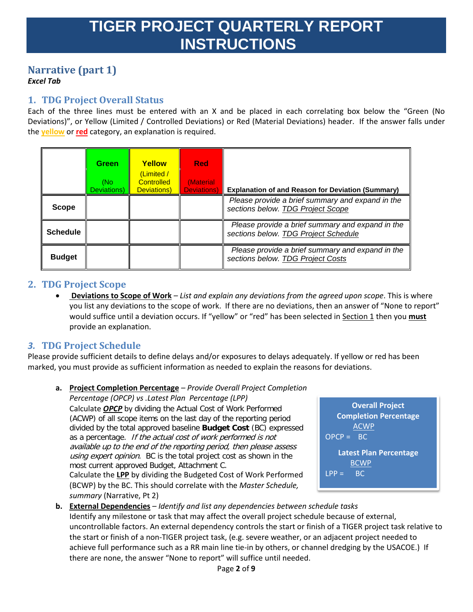## <span id="page-1-0"></span>**Narrative (part 1)**

#### <span id="page-1-1"></span>*Excel Tab*

### **1. TDG Project Overall Status**

Each of the three lines must be entered with an X and be placed in each correlating box below the "Green (No Deviations)", or Yellow (Limited / Controlled Deviations) or Red (Material Deviations) header. If the answer falls under the **yellow** or **red** category, an explanation is required.

|                 | <b>Green</b><br>(No<br>Deviations) | <b>Yellow</b><br>(Limited /<br>Controlled<br>Deviations) | <b>Red</b><br><i>(Material)</i><br><b>Deviations</b> ) | <b>Explanation of and Reason for Deviation (Summary)</b>                                 |
|-----------------|------------------------------------|----------------------------------------------------------|--------------------------------------------------------|------------------------------------------------------------------------------------------|
| <b>Scope</b>    |                                    |                                                          |                                                        | Please provide a brief summary and expand in the<br>sections below. TDG Project Scope    |
| <b>Schedule</b> |                                    |                                                          |                                                        | Please provide a brief summary and expand in the<br>sections below. TDG Project Schedule |
| <b>Budget</b>   |                                    |                                                          |                                                        | Please provide a brief summary and expand in the<br>sections below. TDG Project Costs    |

### <span id="page-1-2"></span>**2. TDG Project Scope**

• **Deviations to Scope of Work** *– List and explain any deviations from the agreed upon scope*. This is where you list any deviations to the scope of work. If there are no deviations, then an answer of "None to report" would suffice until a deviation occurs. If "yellow" or "red" has been selected in Section 1 then you **must** provide an explanation.

### <span id="page-1-3"></span>*3.* **TDG Project Schedule**

Please provide sufficient details to define delays and/or exposures to delays adequately. If yellow or red has been marked, you must provide as sufficient information as needed to explain the reasons for deviations.

**a. Project Completion Percentage** *– Provide Overall Project Completion Percentage (OPCP) vs .Latest Plan Percentage (LPP)* Calculate *OPCP* by dividing the Actual Cost of Work Performed

(ACWP) of all scope items on the last day of the reporting period divided by the total approved baseline **Budget Cost** (BC) expressed as a percentage. If the actual cost of work performed is not available up to the end of the reporting period, then please assess using expert opinion. BC is the total project cost as shown in the most current approved Budget, Attachment C. Calculate the **LPP** by dividing the Budgeted Cost of Work Performed (BCWP) by the BC. This should correlate with the *Master Schedule, summary* (Narrative, Pt 2)



**b. External Dependencies** *– Identify and list any dependencies between schedule tasks* Identify any milestone or task that may affect the overall project schedule because of external, uncontrollable factors. An external dependency controls the start or finish of a TIGER project task relative to the start or finish of a non-TIGER project task, (e.g. severe weather, or an adjacent project needed to achieve full performance such as a RR main line tie-in by others, or channel dredging by the USACOE.) If there are none, the answer "None to report" will suffice until needed.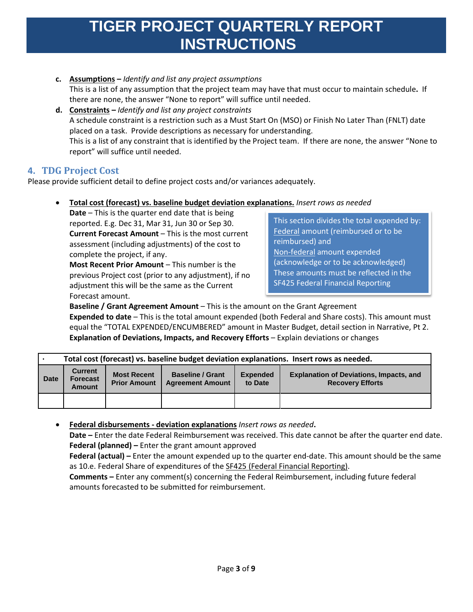- **c. Assumptions –** *Identify and list any project assumptions* This is a list of any assumption that the project team may have that must occur to maintain schedule**.** If there are none, the answer "None to report" will suffice until needed.
- **d. Constraints –** *Identify and list any project constraints* A schedule constraint is a restriction such as a Must Start On (MSO) or Finish No Later Than (FNLT) date placed on a task. Provide descriptions as necessary for understanding. This is a list of any constraint that is identified by the Project team. If there are none, the answer "None to report" will suffice until needed.

### <span id="page-2-0"></span>**4. TDG Project Cost**

Please provide sufficient detail to define project costs and/or variances adequately.

• **Total cost (forecast) vs. baseline budget deviation explanations.** *Insert rows as needed*

**Date** – This is the quarter end date that is being reported. E.g. Dec 31, Mar 31, Jun 30 or Sep 30. **Current Forecast Amount** – This is the most current assessment (including adjustments) of the cost to complete the project, if any.

**Most Recent Prior Amount** – This number is the previous Project cost (prior to any adjustment), if no adjustment this will be the same as the Current Forecast amount.

This section divides the total expended by: Federal amount (reimbursed or to be reimbursed) and Non-federal amount expended (acknowledge or to be acknowledged) These amounts must be reflected in the SF425 Federal Financial Reporting

**Baseline / Grant Agreement Amount** – This is the amount on the Grant Agreement **Expended to date** – This is the total amount expended (both Federal and Share costs). This amount must equal the "TOTAL EXPENDED/ENCUMBERED" amount in Master Budget, detail section in Narrative, Pt 2. **Explanation of Deviations, Impacts, and Recovery Efforts** – Explain deviations or changes

|             | Total cost (forecast) vs. baseline budget deviation explanations. Insert rows as needed. |                                           |                                                    |                            |                                                                           |  |  |  |  |  |
|-------------|------------------------------------------------------------------------------------------|-------------------------------------------|----------------------------------------------------|----------------------------|---------------------------------------------------------------------------|--|--|--|--|--|
| <b>Date</b> | <b>Current</b><br><b>Forecast</b><br><b>Amount</b>                                       | <b>Most Recent</b><br><b>Prior Amount</b> | <b>Baseline / Grant</b><br><b>Agreement Amount</b> | <b>Expended</b><br>to Date | <b>Explanation of Deviations, Impacts, and</b><br><b>Recovery Efforts</b> |  |  |  |  |  |
|             |                                                                                          |                                           |                                                    |                            |                                                                           |  |  |  |  |  |

• **Federal disbursements - deviation explanations** *Insert rows as needed***.**

**Date –** Enter the date Federal Reimbursement was received. This date cannot be after the quarter end date. **Federal (planned) –** Enter the grant amount approved

**Federal (actual) –** Enter the amount expended up to the quarter end-date. This amount should be the same as 10.e. Federal Share of expenditures of the SF425 (Federal Financial Reporting).

**Comments –** Enter any comment(s) concerning the Federal Reimbursement, including future federal amounts forecasted to be submitted for reimbursement.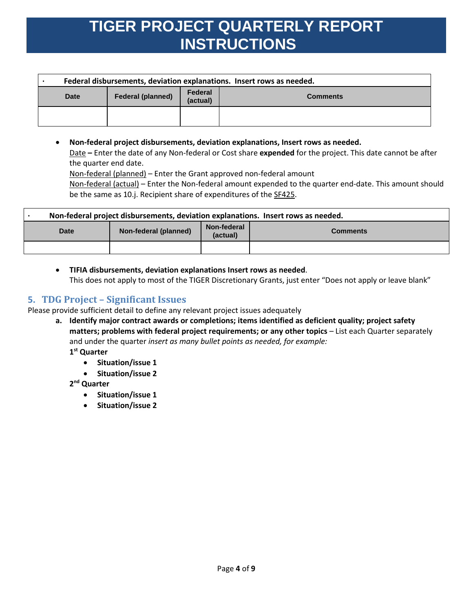| Federal disbursements, deviation explanations. Insert rows as needed. |                          |                     |                 |  |  |  |  |  |
|-----------------------------------------------------------------------|--------------------------|---------------------|-----------------|--|--|--|--|--|
| <b>Date</b>                                                           | <b>Federal (planned)</b> | Federal<br>(actual) | <b>Comments</b> |  |  |  |  |  |
|                                                                       |                          |                     |                 |  |  |  |  |  |

• **Non-federal project disbursements, deviation explanations, Insert rows as needed.** Date **–** Enter the date of any Non-federal or Cost share **expended** for the project. This date cannot be after the quarter end date.

Non-federal (planned) – Enter the Grant approved non-federal amount

Non-federal (actual) – Enter the Non-federal amount expended to the quarter end-date. This amount should be the same as 10.j. Recipient share of expenditures of the SF425.

| Non-federal project disbursements, deviation explanations. Insert rows as needed. |                       |                         |                 |  |  |  |  |  |
|-----------------------------------------------------------------------------------|-----------------------|-------------------------|-----------------|--|--|--|--|--|
| Date                                                                              | Non-federal (planned) | Non-federal<br>(actual) | <b>Comments</b> |  |  |  |  |  |
|                                                                                   |                       |                         |                 |  |  |  |  |  |

• **TIFIA disbursements, deviation explanations Insert rows as needed**. This does not apply to most of the TIGER Discretionary Grants, just enter "Does not apply or leave blank"

### <span id="page-3-0"></span>**5. TDG Project – Significant Issues**

Please provide sufficient detail to define any relevant project issues adequately

**a. Identify major contract awards or completions; items identified as deficient quality; project safety matters; problems with federal project requirements; or any other topics** – List each Quarter separately and under the quarter *insert as many bullet points as needed, for example:*

**1st Quarter**

- **Situation/issue 1**
- **Situation/issue 2**

**2nd Quarter**

- **Situation/issue 1**
- **Situation/issue 2**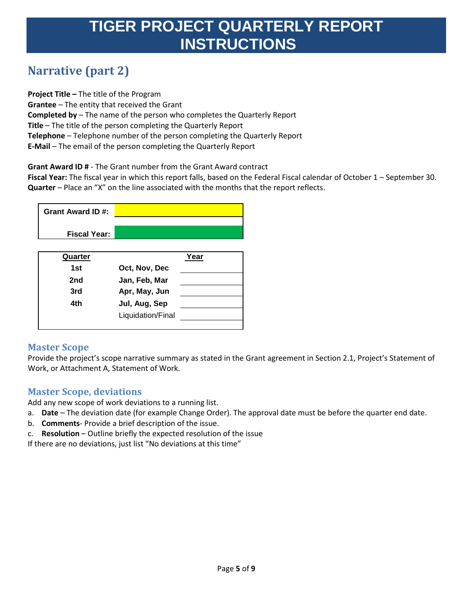## <span id="page-4-0"></span>**Narrative (part 2)**

**Project Title –** The title of the Program **Grantee** – The entity that received the Grant **Completed by** – The name of the person who completes the Quarterly Report **Title** – The title of the person completing the Quarterly Report **Telephone** – Telephone number of the person completing the Quarterly Report **E-Mail** – The email of the person completing the Quarterly Report

**Grant Award ID #** - The Grant number from the Grant Award contract

**Fiscal Year:** The fiscal year in which this report falls, based on the Federal Fiscal calendar of October 1 – September 30. **Quarter** – Place an "X" on the line associated with the months that the report reflects.



| Quarter |                   | Year |
|---------|-------------------|------|
| 1st     | Oct, Nov, Dec     |      |
| 2nd     | Jan, Feb, Mar     |      |
| 3rd     | Apr, May, Jun     |      |
| 4th     | Jul, Aug, Sep     |      |
|         | Liquidation/Final |      |
|         |                   |      |

### <span id="page-4-1"></span>**Master Scope**

Provide the project's scope narrative summary as stated in the Grant agreement in Section 2.1, Project's Statement of Work, or Attachment A, Statement of Work.

### <span id="page-4-2"></span>**Master Scope, deviations**

Add any new scope of work deviations to a running list.

- a. **Date** The deviation date (for example Change Order). The approval date must be before the quarter end date.
- b. **Comments** Provide a brief description of the issue.
- c. **Resolution** Outline briefly the expected resolution of the issue

If there are no deviations, just list "No deviations at this time"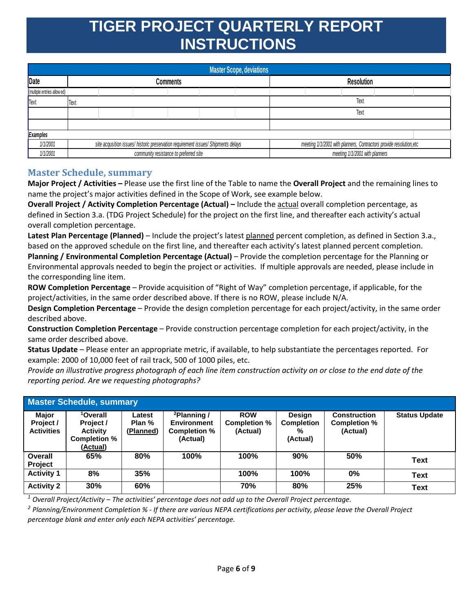|                            | <b>Master Scope, deviations</b> |                                                                                    |                                        |                 |  |  |                                                                     |  |                                |  |  |
|----------------------------|---------------------------------|------------------------------------------------------------------------------------|----------------------------------------|-----------------|--|--|---------------------------------------------------------------------|--|--------------------------------|--|--|
| Date                       |                                 |                                                                                    |                                        | <b>Comments</b> |  |  | <b>Resolution</b>                                                   |  |                                |  |  |
| (multiple entries allowed) |                                 |                                                                                    |                                        |                 |  |  |                                                                     |  |                                |  |  |
| Text                       | Text                            |                                                                                    |                                        |                 |  |  | Text                                                                |  |                                |  |  |
|                            |                                 |                                                                                    |                                        |                 |  |  | Text                                                                |  |                                |  |  |
|                            |                                 |                                                                                    |                                        |                 |  |  |                                                                     |  |                                |  |  |
| Examples                   |                                 |                                                                                    |                                        |                 |  |  |                                                                     |  |                                |  |  |
| 1/1/2001                   |                                 | site acqusition issues/ historic preservation requirement issues/ Shipments delays |                                        |                 |  |  | meeting 1/1/2001 with planners, Contractors provide resolution, etc |  |                                |  |  |
| 1/1/2001                   |                                 |                                                                                    | community resistance to preferred site |                 |  |  |                                                                     |  | meeting 1/1/2001 with planners |  |  |

### <span id="page-5-0"></span>**Master Schedule, summary**

**Major Project / Activities –** Please use the first line of the Table to name the **Overall Project** and the remaining lines to name the project's major activities defined in the Scope of Work, see example below.

**Overall Project / Activity Completion Percentage (Actual) –** Include the actual overall completion percentage, as defined in Section 3.a. (TDG Project Schedule) for the project on the first line, and thereafter each activity's actual overall completion percentage.

**Latest Plan Percentage (Planned)** – Include the project's latest planned percent completion, as defined in Section 3.a., based on the approved schedule on the first line, and thereafter each activity's latest planned percent completion.

**Planning / Environmental Completion Percentage (Actual)** – Provide the completion percentage for the Planning or Environmental approvals needed to begin the project or activities. If multiple approvals are needed, please include in the corresponding line item.

**ROW Completion Percentage** – Provide acquisition of "Right of Way" completion percentage, if applicable, for the project/activities, in the same order described above. If there is no ROW, please include N/A.

**Design Completion Percentage** – Provide the design completion percentage for each project/activity, in the same order described above.

**Construction Completion Percentage** – Provide construction percentage completion for each project/activity, in the same order described above.

**Status Update** – Please enter an appropriate metric, if available, to help substantiate the percentages reported. For example: 2000 of 10,000 feet of rail track, 500 of 1000 piles, etc.

*Provide an illustrative progress photograph of each line item construction activity on or close to the end date of the reporting period. Are we requesting photographs?*

| <b>Master Schedule, summary</b>         |                                                                                  |                               |                                                                           |                                        |                                                     |                                                        |                      |  |  |  |
|-----------------------------------------|----------------------------------------------------------------------------------|-------------------------------|---------------------------------------------------------------------------|----------------------------------------|-----------------------------------------------------|--------------------------------------------------------|----------------------|--|--|--|
| Major<br>Project /<br><b>Activities</b> | <sup>1</sup> Overall<br>Project /<br><b>Activity</b><br>Completion %<br>(Actual) | Latest<br>Plan %<br>(Planned) | <sup>2</sup> Planning /<br><b>Environment</b><br>Completion %<br>(Actual) | <b>ROW</b><br>Completion %<br>(Actual) | <b>Design</b><br><b>Completion</b><br>%<br>(Actual) | <b>Construction</b><br><b>Completion %</b><br>(Actual) | <b>Status Update</b> |  |  |  |
| Overall<br>Project                      | 65%                                                                              | 80%                           | 100%                                                                      | 100%                                   | 90%                                                 | 50%                                                    | <b>Text</b>          |  |  |  |
| <b>Activity 1</b>                       | 8%                                                                               | 35%                           |                                                                           | 100%                                   | 100%                                                | 0%                                                     | Text                 |  |  |  |
| <b>Activity 2</b>                       | 30%                                                                              | 60%                           |                                                                           | 70%                                    | 80%                                                 | 25%                                                    | Text                 |  |  |  |

*<sup>1</sup> Overall Project/Activity – The activities' percentage does not add up to the Overall Project percentage.*

*<sup>2</sup> Planning/Environment Completion % - If there are various NEPA certifications per activity, please leave the Overall Project percentage blank and enter only each NEPA activities' percentage.*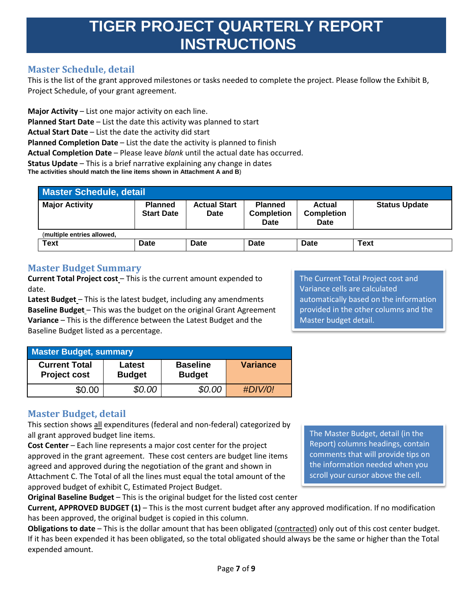### <span id="page-6-0"></span>**Master Schedule, detail**

This is the list of the grant approved milestones or tasks needed to complete the project. Please follow the Exhibit B, Project Schedule, of your grant agreement.

**Major Activity** – List one major activity on each line. **Planned Start Date** – List the date this activity was planned to start **Actual Start Date** – List the date the activity did start **Planned Completion Date** – List the date the activity is planned to finish **Actual Completion Date** – Please leave *blank* until the actual date has occurred. **Status Update** – This is a brief narrative explaining any change in dates **The activities should match the line items shown in Attachment A and B**)

| <b>Master Schedule, detail</b> |                                     |                             |                                             |                                     |                      |  |  |  |  |
|--------------------------------|-------------------------------------|-----------------------------|---------------------------------------------|-------------------------------------|----------------------|--|--|--|--|
| <b>Major Activity</b>          | <b>Planned</b><br><b>Start Date</b> | <b>Actual Start</b><br>Date | <b>Planned</b><br><b>Completion</b><br>Date | Actual<br><b>Completion</b><br>Date | <b>Status Update</b> |  |  |  |  |
| (multiple entries allowed,     |                                     |                             |                                             |                                     |                      |  |  |  |  |
| Text                           | Date                                | Date                        | Date                                        | Date                                | <b>Text</b>          |  |  |  |  |

### <span id="page-6-1"></span>**Master Budget Summary**

**Current Total Project cost** – This is the current amount expended to date.

**Latest Budget** – This is the latest budget, including any amendments **Baseline Budget** – This was the budget on the original Grant Agreement **Variance** – This is the difference between the Latest Budget and the Baseline Budget listed as a percentage.

The Current Total Project cost and Variance cells are calculated automatically based on the information provided in the other columns and the Master budget detail.

| <b>Master Budget, summary</b>               |                         |                                  |                 |  |  |  |  |  |  |
|---------------------------------------------|-------------------------|----------------------------------|-----------------|--|--|--|--|--|--|
| <b>Current Total</b><br><b>Project cost</b> | Latest<br><b>Budget</b> | <b>Baseline</b><br><b>Budget</b> | <b>Variance</b> |  |  |  |  |  |  |
| \$0.00                                      | \$0.00                  | \$0.00                           | #DIV/0!         |  |  |  |  |  |  |

### <span id="page-6-2"></span>**Master Budget, detail**

This section shows all expenditures (federal and non-federal) categorized by all grant approved budget line items.

**Cost Center** – Each line represents a major cost center for the project approved in the grant agreement. These cost centers are budget line items agreed and approved during the negotiation of the grant and shown in Attachment C. The Total of all the lines must equal the total amount of the approved budget of exhibit C, Estimated Project Budget.

The Master Budget, detail (in the Report) columns headings, contain comments that will provide tips on the information needed when you scroll your cursor above the cell.

**Original Baseline Budget** – This is the original budget for the listed cost center

**Current, APPROVED BUDGET (1)** – This is the most current budget after any approved modification. If no modification has been approved, the original budget is copied in this column.

**Obligations to date** – This is the dollar amount that has been obligated (contracted) only out of this cost center budget. If it has been expended it has been obligated, so the total obligated should always be the same or higher than the Total expended amount.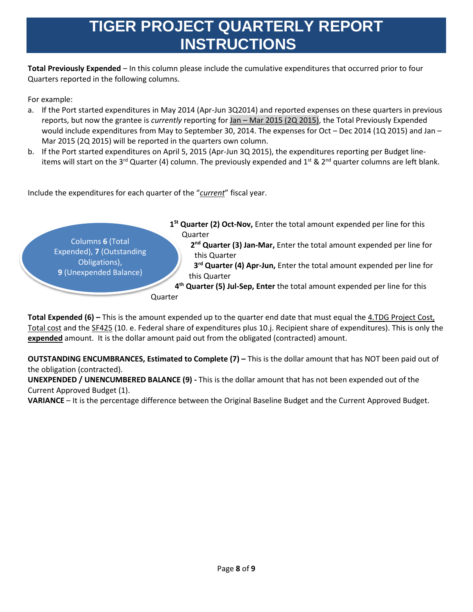**Total Previously Expended** – In this column please include the cumulative expenditures that occurred prior to four Quarters reported in the following columns.

For example:

- a. If the Port started expenditures in May 2014 (Apr-Jun 3Q2014) and reported expenses on these quarters in previous reports, but now the grantee is *currently* reporting for Jan – Mar 2015 (2Q 2015), the Total Previously Expended would include expenditures from May to September 30, 2014. The expenses for Oct – Dec 2014 (1Q 2015) and Jan – Mar 2015 (2Q 2015) will be reported in the quarters own column.
- b. If the Port started expenditures on April 5, 2015 (Apr-Jun 3Q 2015), the expenditures reporting per Budget lineitems will start on the 3<sup>rd</sup> Quarter (4) column. The previously expended and 1<sup>st</sup> & 2<sup>nd</sup> quarter columns are left blank.

Include the expenditures for each quarter of the "*current*" fiscal year.

Columns **6** (Total Expended), **7** (Outstanding Obligations), **9** (Unexpended Balance) **1St Quarter (2) Oct-Nov,** Enter the total amount expended per line for this Quarter **2nd Quarter (3) Jan-Mar,** Enter the total amount expended per line for this Quarter **3rd Quarter (4) Apr-Jun,** Enter the total amount expended per line for this Quarter **4th Quarter (5) Jul-Sep, Enter** the total amount expended per line for this **Quarter** 

**Total Expended (6) –** This is the amount expended up to the quarter end date that must equal the 4.TDG Project Cost, Total cost and the SF425 (10. e. Federal share of expenditures plus 10.j. Recipient share of expenditures). This is only the **expended** amount. It is the dollar amount paid out from the obligated (contracted) amount.

**OUTSTANDING ENCUMBRANCES, Estimated to Complete (7) –** This is the dollar amount that has NOT been paid out of the obligation (contracted).

**UNEXPENDED / UNENCUMBERED BALANCE (9) -** This is the dollar amount that has not been expended out of the Current Approved Budget (1).

**VARIANCE** – It is the percentage difference between the Original Baseline Budget and the Current Approved Budget.